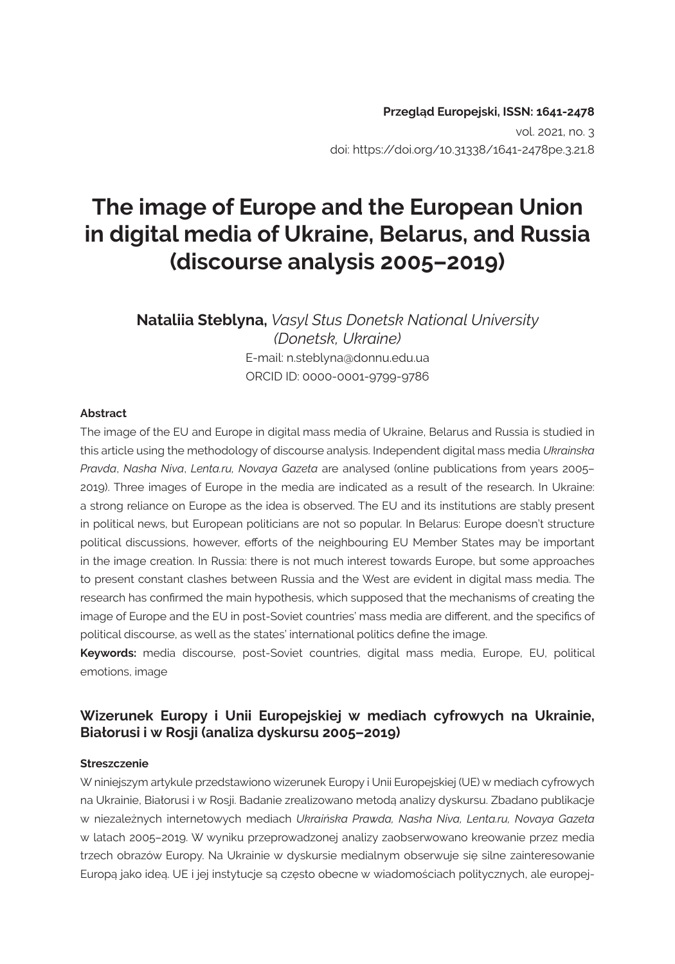#### **Przegląd Europejski, ISSN: 1641-2478**  vol. 2021, no. 3 doi: https://doi.org/10.31338/1641-2478pe.3.21.8

# **The image of Europe and the European Union in digital media of Ukraine, Belarus, and Russia (discourse analysis 2005–2019)**

**Nataliia Steblyna,** *Vasyl Stus Donetsk National University (Donetsk, Ukraine)* E-mail: n.steblyna@donnu.edu.ua ORCID ID: 0000-0001-9799-9786

#### **Abstract**

The image of the EU and Europe in digital mass media of Ukraine, Belarus and Russia is studied in this article using the methodology of discourse analysis. Independent digital mass media *Ukrainska Pravda*, *Nasha Niva*, *Lenta.ru, Novaya Gazeta* are analysed (online publications from years 2005– 2019). Three images of Europe in the media are indicated as a result of the research. In Ukraine: a strong reliance on Europe as the idea is observed. The EU and its institutions are stably present in political news, but European politicians are not so popular. In Belarus: Europe doesn't structure political discussions, however, efforts of the neighbouring EU Member States may be important in the image creation. In Russia: there is not much interest towards Europe, but some approaches to present constant clashes between Russia and the West are evident in digital mass media. The research has confirmed the main hypothesis, which supposed that the mechanisms of creating the image of Europe and the EU in post-Soviet countries' mass media are different, and the specifics of political discourse, as well as the states' international politics define the image.

**Keywords:** media discourse, post-Soviet countries, digital mass media, Europe, EU, political emotions, image

#### **Wizerunek Europy i Unii Europejskiej w mediach cyfrowych na Ukrainie, Białorusi i w Rosji (analiza dyskursu 2005–2019)**

#### **Streszczenie**

W niniejszym artykule przedstawiono wizerunek Europy i Unii Europejskiej (UE) w mediach cyfrowych na Ukrainie, Białorusi i w Rosji. Badanie zrealizowano metodą analizy dyskursu. Zbadano publikacje w niezależnych internetowych mediach *Ukraińska Prawda, Nasha Niva, Lenta.ru, Novaya Gazeta* w latach 2005–2019. W wyniku przeprowadzonej analizy zaobserwowano kreowanie przez media trzech obrazów Europy. Na Ukrainie w dyskursie medialnym obserwuje się silne zainteresowanie Europą jako ideą. UE i jej instytucje są często obecne w wiadomościach politycznych, ale europej-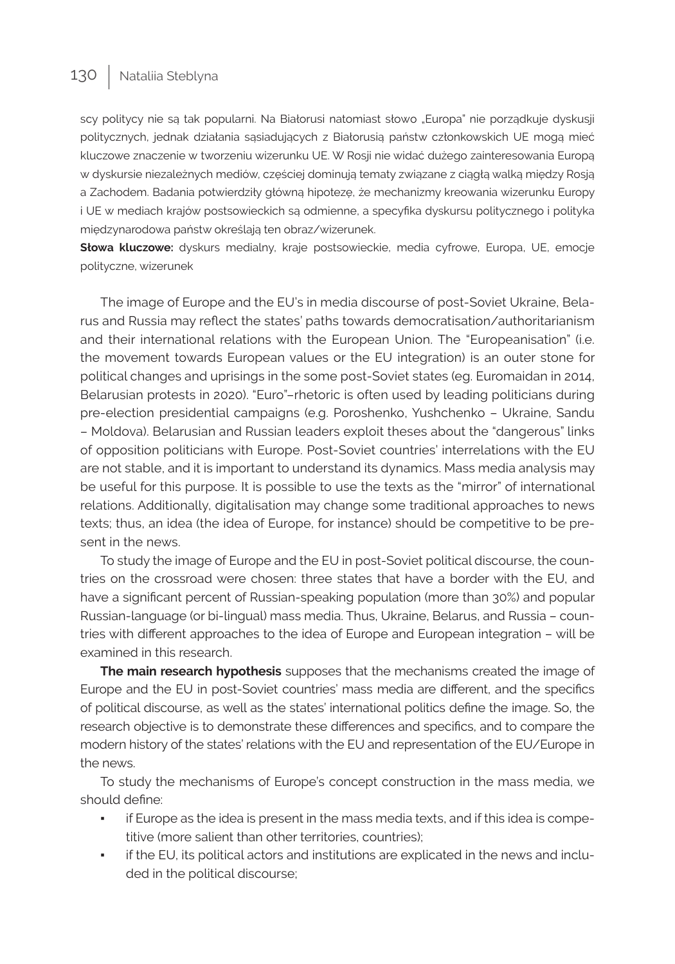scy politycy nie są tak popularni. Na Białorusi natomiast słowo "Europa" nie porządkuje dyskusji politycznych, jednak działania sąsiadujących z Białorusią państw członkowskich UE mogą mieć kluczowe znaczenie w tworzeniu wizerunku UE. W Rosji nie widać dużego zainteresowania Europą w dyskursie niezależnych mediów, częściej dominują tematy związane z ciągłą walką między Rosją a Zachodem. Badania potwierdziły główną hipotezę, że mechanizmy kreowania wizerunku Europy i UE w mediach krajów postsowieckich są odmienne, a specyfika dyskursu politycznego i polityka międzynarodowa państw określają ten obraz/wizerunek.

**Słowa kluczowe:** dyskurs medialny, kraje postsowieckie, media cyfrowe, Europa, UE, emocje polityczne, wizerunek

The image of Europe and the EU's in media discourse of post-Soviet Ukraine, Belarus and Russia may reflect the states' paths towards democratisation/authoritarianism and their international relations with the European Union. The "Europeanisation" (i.e. the movement towards European values or the EU integration) is an outer stone for political changes and uprisings in the some post-Soviet states (eg. Euromaidan in 2014, Belarusian protests in 2020). "Euro"–rhetoric is often used by leading politicians during pre-election presidential campaigns (e.g. Poroshenko, Yushchenko – Ukraine, Sandu – Moldova). Belarusian and Russian leaders exploit theses about the "dangerous" links of opposition politicians with Europe. Post-Soviet countries' interrelations with the EU are not stable, and it is important to understand its dynamics. Mass media analysis may be useful for this purpose. It is possible to use the texts as the "mirror" of international relations. Additionally, digitalisation may change some traditional approaches to news texts; thus, an idea (the idea of Europe, for instance) should be competitive to be present in the news.

To study the image of Europe and the EU in post-Soviet political discourse, the countries on the crossroad were chosen: three states that have a border with the EU, and have a significant percent of Russian-speaking population (more than 30%) and popular Russian-language (or bi-lingual) mass media. Thus, Ukraine, Belarus, and Russia – countries with different approaches to the idea of Europe and European integration – will be examined in this research.

**The main research hypothesis** supposes that the mechanisms created the image of Europe and the EU in post-Soviet countries' mass media are different, and the specifics of political discourse, as well as the states' international politics define the image. So, the research objective is to demonstrate these differences and specifics, and to compare the modern history of the states' relations with the EU and representation of the EU/Europe in the news.

To study the mechanisms of Europe's concept construction in the mass media, we should define:

- if Europe as the idea is present in the mass media texts, and if this idea is competitive (more salient than other territories, countries);
- if the EU, its political actors and institutions are explicated in the news and included in the political discourse;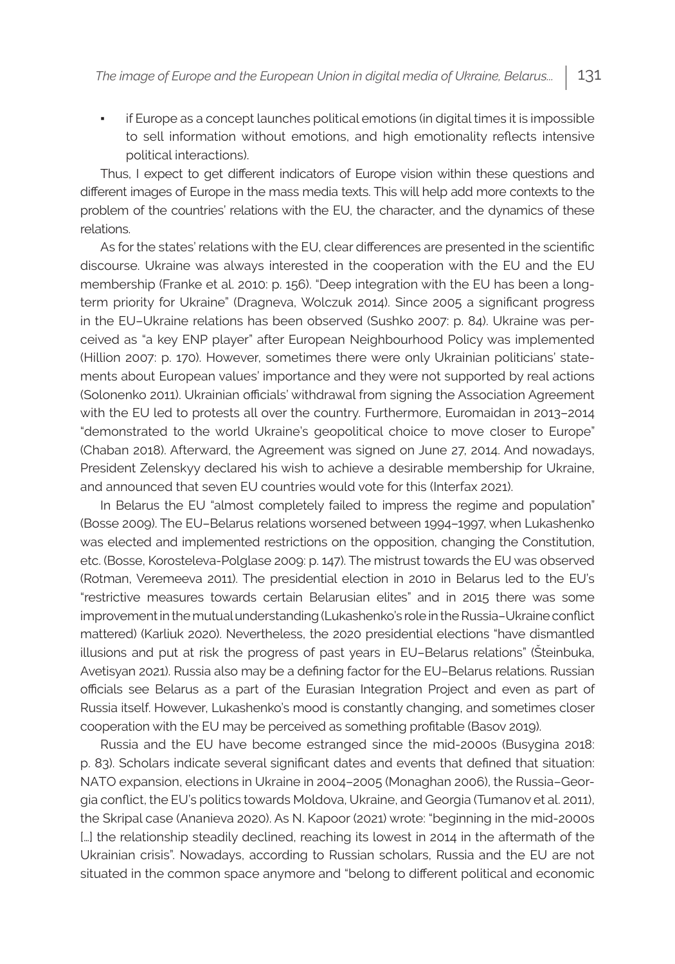if Europe as a concept launches political emotions (in digital times it is impossible to sell information without emotions, and high emotionality reflects intensive political interactions).

Thus, I expect to get different indicators of Europe vision within these questions and different images of Europe in the mass media texts. This will help add more contexts to the problem of the countries' relations with the EU, the character, and the dynamics of these relations.

As for the states' relations with the EU, clear differences are presented in the scientific discourse. Ukraine was always interested in the cooperation with the EU and the EU membership (Franke et al. 2010: p. 156). "Deep integration with the EU has been a longterm priority for Ukraine" (Dragneva, Wolczuk 2014). Since 2005 a significant progress in the EU–Ukraine relations has been observed (Sushko 2007: p. 84). Ukraine was perceived as "a key ENP player" after European Neighbourhood Policy was implemented (Hillion 2007: p. 170). However, sometimes there were only Ukrainian politicians' statements about European values' importance and they were not supported by real actions (Solonenko 2011). Ukrainian officials' withdrawal from signing the Association Agreement with the EU led to protests all over the country. Furthermore, Euromaidan in 2013–2014 "demonstrated to the world Ukraine's geopolitical choice to move closer to Europe" (Chaban 2018). Afterward, the Agreement was signed on June 27, 2014. And nowadays, President Zelenskyy declared his wish to achieve a desirable membership for Ukraine, and announced that seven EU countries would vote for this (Interfax 2021).

In Belarus the EU "almost completely failed to impress the regime and population" (Bosse 2009). The EU–Belarus relations worsened between 1994–1997, when Lukashenko was elected and implemented restrictions on the opposition, changing the Constitution, etc. (Bosse, Korosteleva-Polglase 2009: p. 147). The mistrust towards the EU was observed (Rotman, Veremeeva 2011). The presidential election in 2010 in Belarus led to the EU's "restrictive measures towards certain Belarusian elites" and in 2015 there was some improvement in the mutual understanding (Lukashenko's role in the Russia–Ukraine conflict mattered) (Karliuk 2020). Nevertheless, the 2020 presidential elections "have dismantled illusions and put at risk the progress of past years in EU–Belarus relations" (Šteinbuka, Avetisyan 2021). Russia also may be a defining factor for the EU–Belarus relations. Russian officials see Belarus as a part of the Eurasian Integration Project and even as part of Russia itself. However, Lukashenko's mood is constantly changing, and sometimes closer cooperation with the EU may be perceived as something profitable (Basov 2019).

Russia and the EU have become estranged since the mid-2000s (Busygina 2018: p. 83). Scholars indicate several significant dates and events that defined that situation: NATO expansion, elections in Ukraine in 2004–2005 (Monaghan 2006), the Russia–Georgia conflict, the EU's politics towards Moldova, Ukraine, and Georgia (Tumanov et al. 2011), the Skripal case (Ananieva 2020). As N. Kapoor (2021) wrote: "beginning in the mid-2000s [...] the relationship steadily declined, reaching its lowest in 2014 in the aftermath of the Ukrainian crisis". Nowadays, according to Russian scholars, Russia and the EU are not situated in the common space anymore and "belong to different political and economic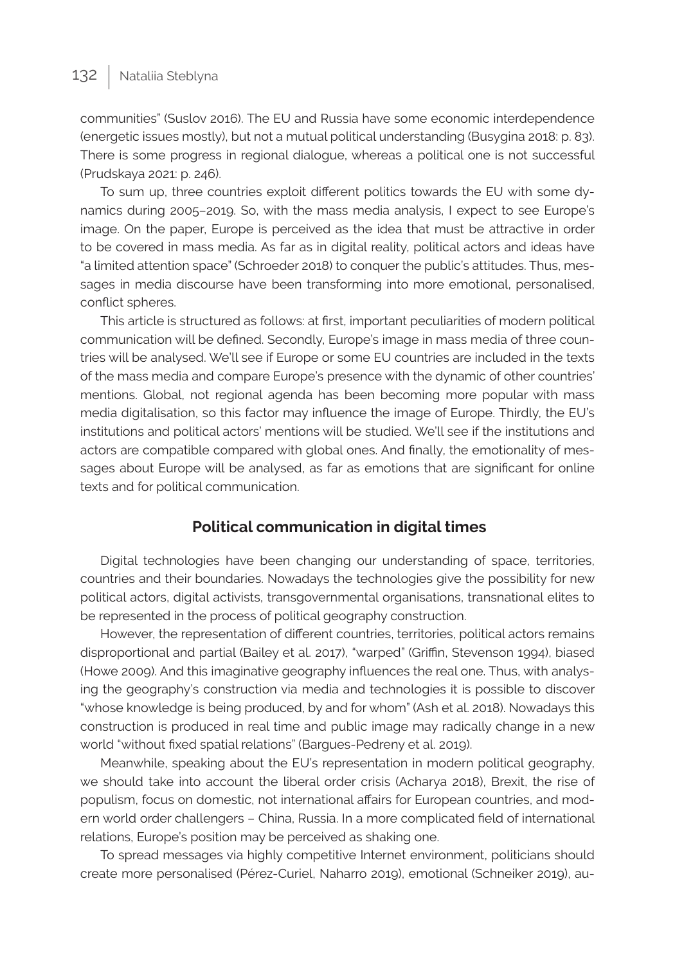communities" (Suslov 2016). The EU and Russia have some economic interdependence (energetic issues mostly), but not a mutual political understanding (Busygina 2018: p. 83). There is some progress in regional dialogue, whereas a political one is not successful (Prudskaya 2021: p. 246).

To sum up, three countries exploit different politics towards the EU with some dynamics during 2005–2019. So, with the mass media analysis, I expect to see Europe's image. On the paper, Europe is perceived as the idea that must be attractive in order to be covered in mass media. As far as in digital reality, political actors and ideas have "a limited attention space" (Schroeder 2018) to conquer the public's attitudes. Thus, messages in media discourse have been transforming into more emotional, personalised, conflict spheres.

This article is structured as follows: at first, important peculiarities of modern political communication will be defined. Secondly, Europe's image in mass media of three countries will be analysed. We'll see if Europe or some EU countries are included in the texts of the mass media and compare Europe's presence with the dynamic of other countries' mentions. Global, not regional agenda has been becoming more popular with mass media digitalisation, so this factor may influence the image of Europe. Thirdly, the EU's institutions and political actors' mentions will be studied. We'll see if the institutions and actors are compatible compared with global ones. And finally, the emotionality of messages about Europe will be analysed, as far as emotions that are significant for online texts and for political communication.

#### **Political communication in digital times**

Digital technologies have been changing our understanding of space, territories, countries and their boundaries. Nowadays the technologies give the possibility for new political actors, digital activists, transgovernmental organisations, transnational elites to be represented in the process of political geography construction.

However, the representation of different countries, territories, political actors remains disproportional and partial (Bailey et al. 2017), "warped" (Griffin, Stevenson 1994), biased (Howe 2009). And this imaginative geography influences the real one. Thus, with analysing the geography's construction via media and technologies it is possible to discover "whose knowledge is being produced, by and for whom" (Ash et al. 2018). Nowadays this construction is produced in real time and public image may radically change in a new world "without fixed spatial relations" (Bargues-Pedreny et al. 2019).

Meanwhile, speaking about the EU's representation in modern political geography, we should take into account the liberal order crisis (Acharya 2018), Brexit, the rise of populism, focus on domestic, not international affairs for European countries, and modern world order challengers – China, Russia. In a more complicated field of international relations, Europe's position may be perceived as shaking one.

To spread messages via highly competitive Internet environment, politicians should create more personalised (Pérez-Curiel, Naharro 2019), emotional (Schneiker 2019), au-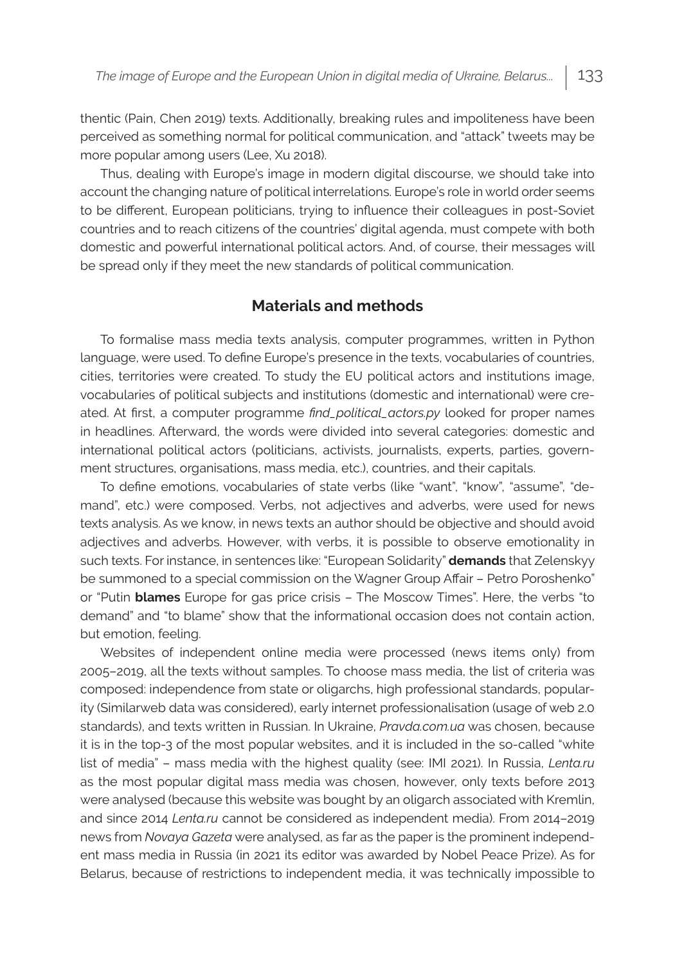thentic (Pain, Chen 2019) texts. Additionally, breaking rules and impoliteness have been perceived as something normal for political communication, and "attack" tweets may be more popular among users (Lee, Xu 2018).

Thus, dealing with Europe's image in modern digital discourse, we should take into account the changing nature of political interrelations. Europe's role in world order seems to be different, European politicians, trying to influence their colleagues in post-Soviet countries and to reach citizens of the countries' digital agenda, must compete with both domestic and powerful international political actors. And, of course, their messages will be spread only if they meet the new standards of political communication.

#### **Materials and methods**

To formalise mass media texts analysis, computer programmes, written in Python language, were used. To define Europe's presence in the texts, vocabularies of countries, cities, territories were created. To study the EU political actors and institutions image, vocabularies of political subjects and institutions (domestic and international) were created. At first, a computer programme *find\_political\_actors.py* looked for proper names in headlines. Afterward, the words were divided into several categories: domestic and international political actors (politicians, activists, journalists, experts, parties, government structures, organisations, mass media, etc.), countries, and their capitals.

To define emotions, vocabularies of state verbs (like "want", "know", "assume", "demand", etc.) were composed. Verbs, not adjectives and adverbs, were used for news texts analysis. As we know, in news texts an author should be objective and should avoid adjectives and adverbs. However, with verbs, it is possible to observe emotionality in such texts. For instance, in sentences like: "European Solidarity" **demands** that Zelenskyy be summoned to a special commission on the Wagner Group Affair – Petro Poroshenko" or "Putin **blames** Europe for gas price crisis – The Moscow Times". Here, the verbs "to demand" and "to blame" show that the informational occasion does not contain action, but emotion, feeling.

Websites of independent online media were processed (news items only) from 2005–2019, all the texts without samples. To choose mass media, the list of criteria was composed: independence from state or oligarchs, high professional standards, popularity (Similarweb data was considered), early internet professionalisation (usage of web 2.0 standards), and texts written in Russian. In Ukraine, *Pravda.com.ua* was chosen, because it is in the top-3 of the most popular websites, and it is included in the so-called "white list of media" – mass media with the highest quality (see: IMI 2021). In Russia, *Lenta.ru* as the most popular digital mass media was chosen, however, only texts before 2013 were analysed (because this website was bought by an oligarch associated with Kremlin, and since 2014 *Lenta.ru* cannot be considered as independent media). From 2014–2019 news from *Novaya Gazeta* were analysed, as far as the paper is the prominent independent mass media in Russia (in 2021 its editor was awarded by Nobel Peace Prize). As for Belarus, because of restrictions to independent media, it was technically impossible to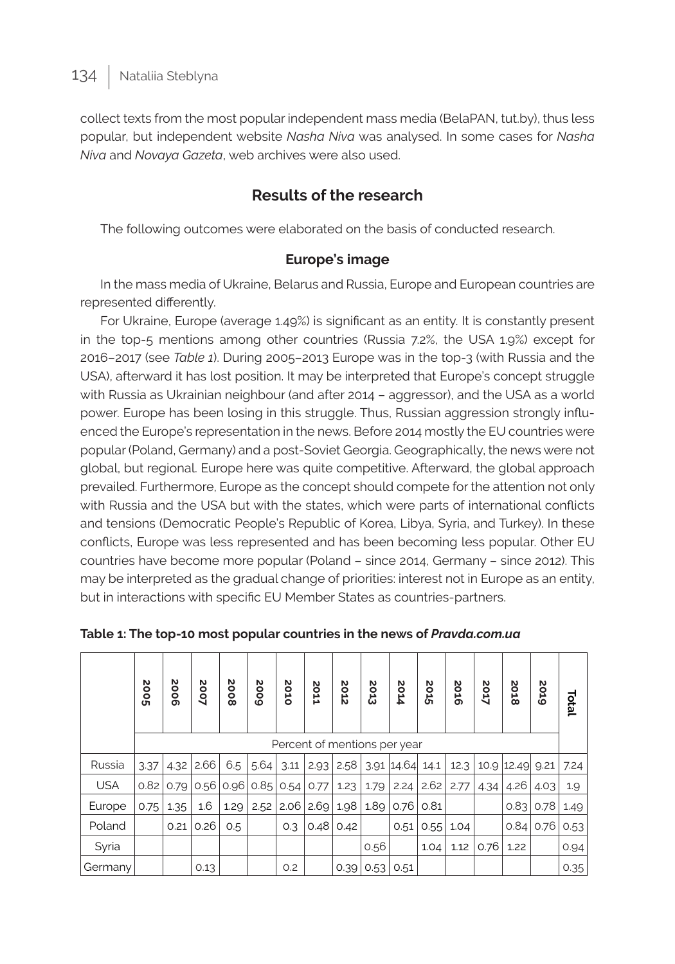collect texts from the most popular independent mass media (BelaPAN, tut.by), thus less popular, but independent website *Nasha Niva* was analysed. In some cases for *Nasha Niva* and *Novaya Gazeta*, web archives were also used.

## **Results of the research**

The following outcomes were elaborated on the basis of conducted research.

### **Europe's image**

In the mass media of Ukraine, Belarus and Russia, Europe and European countries are represented differently.

For Ukraine, Europe (average 1.49%) is significant as an entity. It is constantly present in the top-5 mentions among other countries (Russia 7.2%, the USA 1.9%) except for 2016–2017 (see *Table 1*). During 2005–2013 Europe was in the top-3 (with Russia and the USA), afterward it has lost position. It may be interpreted that Europe's concept struggle with Russia as Ukrainian neighbour (and after 2014 – aggressor), and the USA as a world power. Europe has been losing in this struggle. Thus, Russian aggression strongly influenced the Europe's representation in the news. Before 2014 mostly the EU countries were popular (Poland, Germany) and a post-Soviet Georgia. Geographically, the news were not global, but regional. Europe here was quite competitive. Afterward, the global approach prevailed. Furthermore, Europe as the concept should compete for the attention not only with Russia and the USA but with the states, which were parts of international conflicts and tensions (Democratic People's Republic of Korea, Libya, Syria, and Turkey). In these conflicts, Europe was less represented and has been becoming less popular. Other EU countries have become more popular (Poland – since 2014, Germany – since 2012). This may be interpreted as the gradual change of priorities: interest not in Europe as an entity, but in interactions with specific EU Member States as countries-partners.

|            | 2005 | 9002 | 2007 | 8002 | 6002 | 2010 | N<br>$\circ$<br>11 | N<br>ö<br>Ŕ | <b>2013</b> | 2014<br>Percent of mentions per year | <b>2015</b> | 2016 | 2017 | 2018       | <b>Soro</b> | Total |
|------------|------|------|------|------|------|------|--------------------|-------------|-------------|--------------------------------------|-------------|------|------|------------|-------------|-------|
| Russia     | 3.37 | 4.32 | 2.66 | 6.5  | 5.64 | 3.11 | 2.93               | 2.58        |             | 3.91   14.64                         | 14.1        | 12.3 |      | 10.9 12.49 | 9.21        | 7.24  |
| <b>USA</b> | 0.82 | 0.79 | 0.56 | 0.96 | 0.85 | 0.54 | 0.77               | 1.23        | 1.79        | 2.24                                 | 2.62        | 2.77 | 4.34 | 4.26       | 4.03        | 1.9   |
| Europe     | 0.75 | 1.35 | 1.6  | 1.29 | 2.52 | 2.06 | 2.69               | 1.98        | 1.89        | 0.76                                 | 0.81        |      |      | 0.83       | 0.78        | 1.49  |
| Poland     |      | 0.21 | 0.26 | 0.5  |      | 0.3  | 0.48               | 0.42        |             | 0.51                                 | 0.55        | 1.04 |      | 0.84       | 0.76        | 0.53  |
| Syria      |      |      |      |      |      |      |                    |             | 0.56        |                                      | 1.04        | 1.12 | 0.76 | 1.22       |             | 0.94  |
| Germany    |      |      | 0.13 |      |      | O.2  |                    | 0.39        | 0.53        | 0.51                                 |             |      |      |            |             | 0.35  |

**Table 1: The top-10 most popular countries in the news of** *Pravda.com.ua*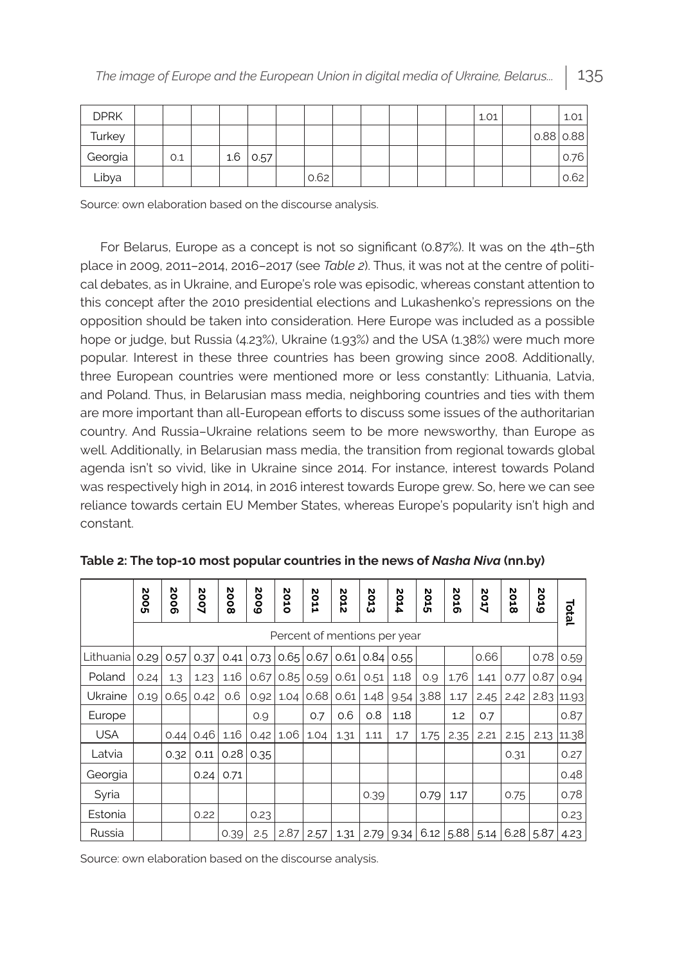| <b>DPRK</b> |     |     |      |      |  |  | 1.01 |             | 1.01 |
|-------------|-----|-----|------|------|--|--|------|-------------|------|
| Turkey      |     |     |      |      |  |  |      | $0.88$ 0.88 |      |
| Georgia     | 0.1 | 1.6 | 0.57 |      |  |  |      |             | 0.76 |
| Libya       |     |     |      | 0.62 |  |  |      |             | 0.62 |

Source: own elaboration based on the discourse analysis.

For Belarus, Europe as a concept is not so significant (0.87%). It was on the 4th–5th place in 2009, 2011–2014, 2016–2017 (see *Table 2*). Thus, it was not at the centre of political debates, as in Ukraine, and Europe's role was episodic, whereas constant attention to this concept after the 2010 presidential elections and Lukashenko's repressions on the opposition should be taken into consideration. Here Europe was included as a possible hope or judge, but Russia (4.23%), Ukraine (1.93%) and the USA (1.38%) were much more popular. Interest in these three countries has been growing since 2008. Additionally, three European countries were mentioned more or less constantly: Lithuania, Latvia, and Poland. Thus, in Belarusian mass media, neighboring countries and ties with them are more important than all-European efforts to discuss some issues of the authoritarian country. And Russia–Ukraine relations seem to be more newsworthy, than Europe as well. Additionally, in Belarusian mass media, the transition from regional towards global agenda isn't so vivid, like in Ukraine since 2014. For instance, interest towards Poland was respectively high in 2014, in 2016 interest towards Europe grew. So, here we can see reliance towards certain EU Member States, whereas Europe's popularity isn't high and constant.

|            | 5002 | 2006                         | 2007 | 2008 | 5002 | 2010 | N<br>ö<br>н | N<br>ö<br>Ĥ<br>N | ő<br>در<br>ω | 2014        | ő<br>Ğ | 2016        | 2017 | 2018 | <b>Sore</b> | Total          |
|------------|------|------------------------------|------|------|------|------|-------------|------------------|--------------|-------------|--------|-------------|------|------|-------------|----------------|
|            |      | Percent of mentions per year |      |      |      |      |             |                  |              |             |        |             |      |      |             |                |
| Lithuania  | 0.29 | 0.57                         | 0.37 | 0.41 | 0.73 | 0.65 | 0.67        | 0.61             |              | $0.84$ 0.55 |        |             | 0.66 |      | 0.78        | 0.59           |
| Poland     | 0.24 | 1.3                          | 1.23 | 1.16 | 0.67 | 0.85 | 0.59        | 0.61             | 0.51         | 1.18        | 0.9    | 1.76        | 1.41 | 0.77 | 0.87        | 0.94           |
| Ukraine    | 0.19 | 0.65                         | 0.42 | 0.6  | 0.92 | 1.04 | 0.68        | 0.61             | 1.48         | 9.54        | 3.88   | 1.17        | 2.45 | 2.42 |             | $2.83$   11.93 |
| Europe     |      |                              |      |      | 0.9  |      | 0.7         | 0.6              | 0.8          | 1.18        |        | 1.2         | 0.7  |      |             | 0.87           |
| <b>USA</b> |      | 0.44                         | 0.46 | 1.16 | 0.42 | 1.06 | 1.04        | 1.31             | 1.11         | 1.7         | 1.75   | 2.35        | 2.21 | 2.15 | 2.13        | 11.38          |
| Latvia     |      | 0.32                         | 0.11 | 0.28 | 0.35 |      |             |                  |              |             |        |             |      | 0.31 |             | 0.27           |
| Georgia    |      |                              | 0.24 | 0.71 |      |      |             |                  |              |             |        |             |      |      |             | 0.48           |
| Syria      |      |                              |      |      |      |      |             |                  | 0.39         |             | 0.79   | 1.17        |      | 0.75 |             | 0.78           |
| Estonia    |      |                              | 0.22 |      | 0.23 |      |             |                  |              |             |        |             |      |      |             | 0.23           |
| Russia     |      |                              |      | 0.39 | 2.5  | 2.87 | 2.57        | 1.31             | 2.79         | 9.34        |        | $6.12$ 5.88 | 5.14 | 6.28 | 5.87        | 4.23           |

**Table 2: The top-10 most popular countries in the news of** *Nasha Niva* **(nn.by)**

Source: own elaboration based on the discourse analysis.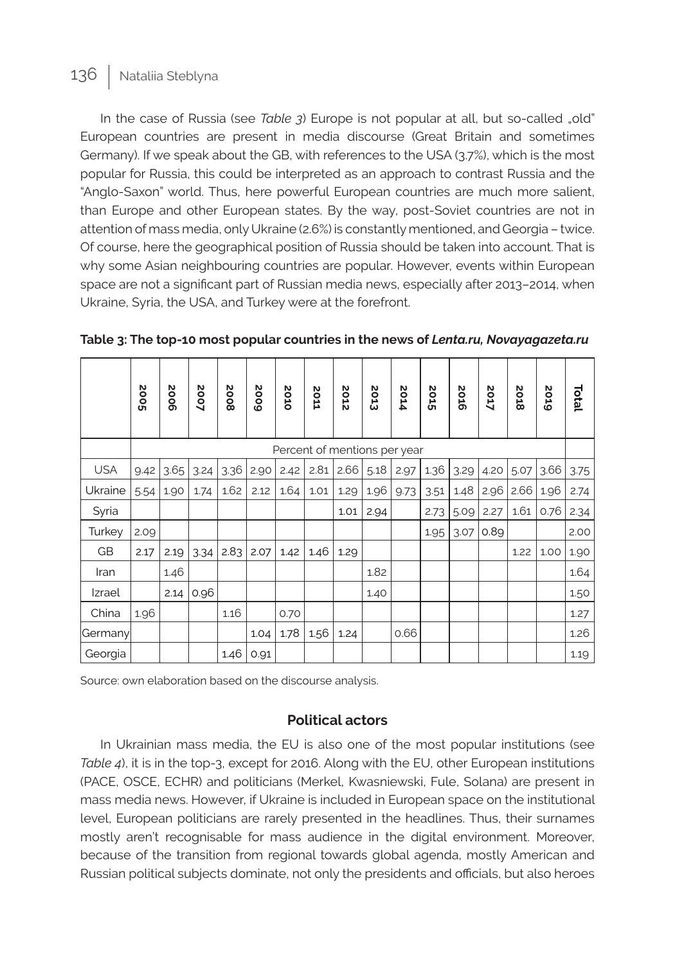In the case of Russia (see *Table 3*) Europe is not popular at all, but so-called "old" European countries are present in media discourse (Great Britain and sometimes Germany). If we speak about the GB, with references to the USA (3.7%), which is the most popular for Russia, this could be interpreted as an approach to contrast Russia and the "Anglo-Saxon" world. Thus, here powerful European countries are much more salient, than Europe and other European states. By the way, post-Soviet countries are not in attention of mass media, only Ukraine (2.6%) is constantly mentioned, and Georgia – twice. Of course, here the geographical position of Russia should be taken into account. That is why some Asian neighbouring countries are popular. However, events within European space are not a significant part of Russian media news, especially after 2013–2014, when Ukraine, Syria, the USA, and Turkey were at the forefront.

|            | 5002 | 2006 | 2007 | 8002 | 5002 | 2010 | <b>2011</b> | 2012 | N<br>Ö13 | 2014                         | Stoz | 2016 | 2017 | 2018 | 2019 | Total |
|------------|------|------|------|------|------|------|-------------|------|----------|------------------------------|------|------|------|------|------|-------|
|            |      |      |      |      |      |      |             |      |          | Percent of mentions per year |      |      |      |      |      |       |
| <b>USA</b> | 9.42 | 3.65 | 3.24 | 3.36 | 2.90 | 2.42 | 2.81        | 2.66 | 5.18     | 2.97                         | 1.36 | 3.29 | 4.20 | 5.07 | 3.66 | 3.75  |
| Ukraine    | 5.54 | 1.90 | 1.74 | 1.62 | 2.12 | 1.64 | 1.01        | 1.29 | 1.96     | 9.73                         | 3.51 | 1.48 | 2.96 | 2.66 | 1.96 | 2.74  |
| Syria      |      |      |      |      |      |      |             | 1.01 | 2.94     |                              | 2.73 | 5.09 | 2.27 | 1.61 | 0.76 | 2.34  |
| Turkey     | 2.09 |      |      |      |      |      |             |      |          |                              | 1.95 | 3.07 | 0.89 |      |      | 2.00  |
| GB         | 2.17 | 2.19 | 3.34 | 2.83 | 2.07 | 1.42 | 1.46        | 1.29 |          |                              |      |      |      | 1.22 | 1.00 | 1.90  |
| Iran       |      | 1.46 |      |      |      |      |             |      | 1.82     |                              |      |      |      |      |      | 1.64  |
| Izrael     |      | 2.14 | 0.96 |      |      |      |             |      | 1.40     |                              |      |      |      |      |      | 1.50  |
| China      | 1.96 |      |      | 1.16 |      | 0.70 |             |      |          |                              |      |      |      |      |      | 1.27  |
| Germany    |      |      |      |      | 1.04 | 1.78 | 1.56        | 1.24 |          | 0.66                         |      |      |      |      |      | 1.26  |
| Georgia    |      |      |      | 1.46 | 0.91 |      |             |      |          |                              |      |      |      |      |      | 1.19  |

**Table 3: The top-10 most popular countries in the news of** *Lenta.ru, Novayagazeta.ru*

Source: own elaboration based on the discourse analysis.

#### **Political actors**

In Ukrainian mass media, the EU is also one of the most popular institutions (see *Table 4*), it is in the top-3, except for 2016. Along with the EU, other European institutions (PACE, OSCE, ECHR) and politicians (Merkel, Kwasniewski, Fule, Solana) are present in mass media news. However, if Ukraine is included in European space on the institutional level, European politicians are rarely presented in the headlines. Thus, their surnames mostly aren't recognisable for mass audience in the digital environment. Moreover, because of the transition from regional towards global agenda, mostly American and Russian political subjects dominate, not only the presidents and officials, but also heroes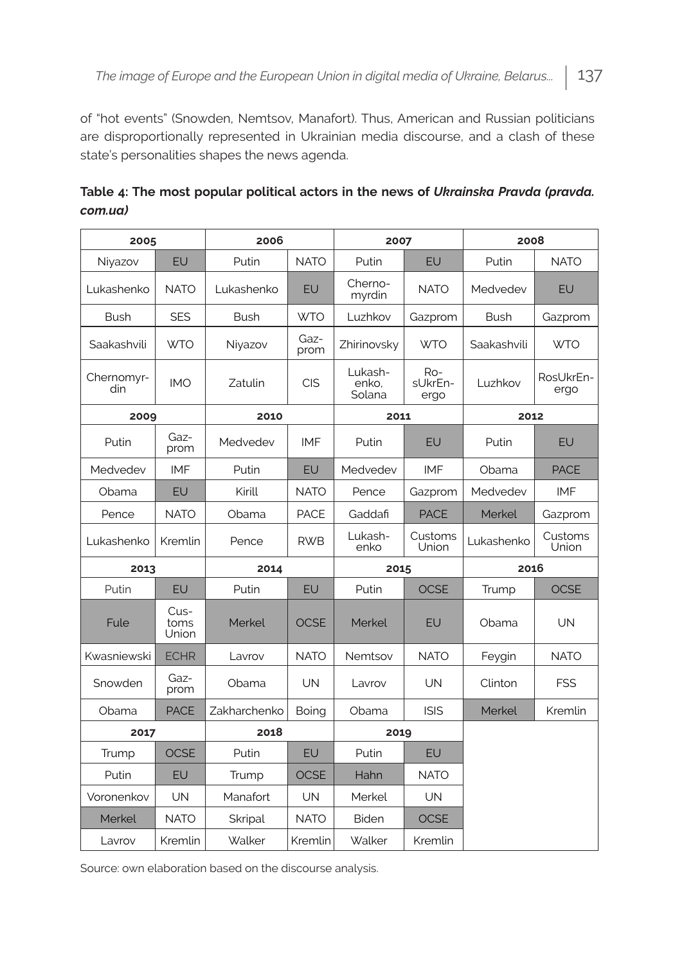of "hot events" (Snowden, Nemtsov, Manafort). Thus, American and Russian politicians are disproportionally represented in Ukrainian media discourse, and a clash of these state's personalities shapes the news agenda.

| 2005              |                       | 2006           |              | 2007                       |                        | 2008        |                   |  |
|-------------------|-----------------------|----------------|--------------|----------------------------|------------------------|-------------|-------------------|--|
| Niyazov           | EU                    | Putin          | <b>NATO</b>  | Putin                      | EU                     | Putin       | <b>NATO</b>       |  |
| Lukashenko        | <b>NATO</b>           | Lukashenko     | EU           | Cherno-<br>myrdin          | <b>NATO</b>            | Medvedev    | EU                |  |
| <b>Bush</b>       | <b>SES</b>            | Bush           | <b>WTO</b>   | Luzhkov                    | Gazprom                | Bush        | Gazprom           |  |
| Saakashvili       | <b>WTO</b>            | Niyazov        | Gaz-<br>prom | Zhirinovsky                | <b>WTO</b>             | Saakashvili | <b>WTO</b>        |  |
| Chernomyr-<br>din | <b>IMO</b>            | Zatulin        | <b>CIS</b>   | Lukash-<br>enko,<br>Solana | Ro-<br>sUkrEn-<br>ergo | Luzhkov     | RosUkrEn-<br>ergo |  |
| 2009              |                       | 2010           |              | 2011                       |                        | 2012        |                   |  |
| Putin             | Gaz-<br>prom          | Medvedev       | IMF          | Putin                      | EU                     | Putin       | EU                |  |
| Medvedev          | <b>IMF</b>            | Putin          | EU           | Medvedev                   | <b>IMF</b>             | Obama       | <b>PACE</b>       |  |
| Obama             | EU                    | Kirill         | <b>NATO</b>  | Pence                      | Gazprom                | Medvedev    | <b>IMF</b>        |  |
| Pence             | <b>NATO</b>           | Obama          | <b>PACE</b>  | Gaddafi                    | <b>PACE</b>            | Merkel      | Gazprom           |  |
| Lukashenko        | Kremlin               | Pence          | <b>RWB</b>   | Lukash-<br>enko            | Customs<br>Union       | Lukashenko  | Customs<br>Union  |  |
| 2013              |                       | 2014           |              | 2015                       |                        | 2016        |                   |  |
| Putin             | EU                    | Putin          | EU           | Putin                      | <b>OCSE</b>            | Trump       | <b>OCSE</b>       |  |
| Fule              | Cus-<br>toms<br>Union | Merkel         | <b>OCSE</b>  | Merkel                     | EU                     | Obama       | <b>UN</b>         |  |
| Kwasniewski       | <b>ECHR</b>           | Lavrov         | <b>NATO</b>  | Nemtsov                    | <b>NATO</b>            | Feygin      | <b>NATO</b>       |  |
| Snowden           | Gaz-<br>prom          | Obama          | <b>UN</b>    | Lavrov                     | <b>UN</b>              | Clinton     | <b>FSS</b>        |  |
| Obama             | <b>PACE</b>           | Zakharchenko   | Boing        | Obama                      | <b>ISIS</b>            | Merkel      | Kremlin           |  |
| 2017              |                       | 2018           |              | 2019                       |                        |             |                   |  |
| Trump             | <b>OCSE</b>           | Putin          | EU           | Putin                      | EU                     |             |                   |  |
| Putin             | EU                    | Trump          | <b>OCSE</b>  | Hahn                       | <b>NATO</b>            |             |                   |  |
| Voronenkov        | <b>UN</b>             | Manafort       | <b>UN</b>    | Merkel                     | <b>UN</b>              |             |                   |  |
| Merkel            | <b>NATO</b>           | <b>Skripal</b> | <b>NATO</b>  | Biden                      | <b>OCSE</b>            |             |                   |  |
| Lavrov            | Kremlin               | Walker         | Kremlin      | Walker                     | Kremlin                |             |                   |  |

**Table 4: The most popular political actors in the news of** *Ukrainska Pravda (pravda. com.ua)*

Source: own elaboration based on the discourse analysis.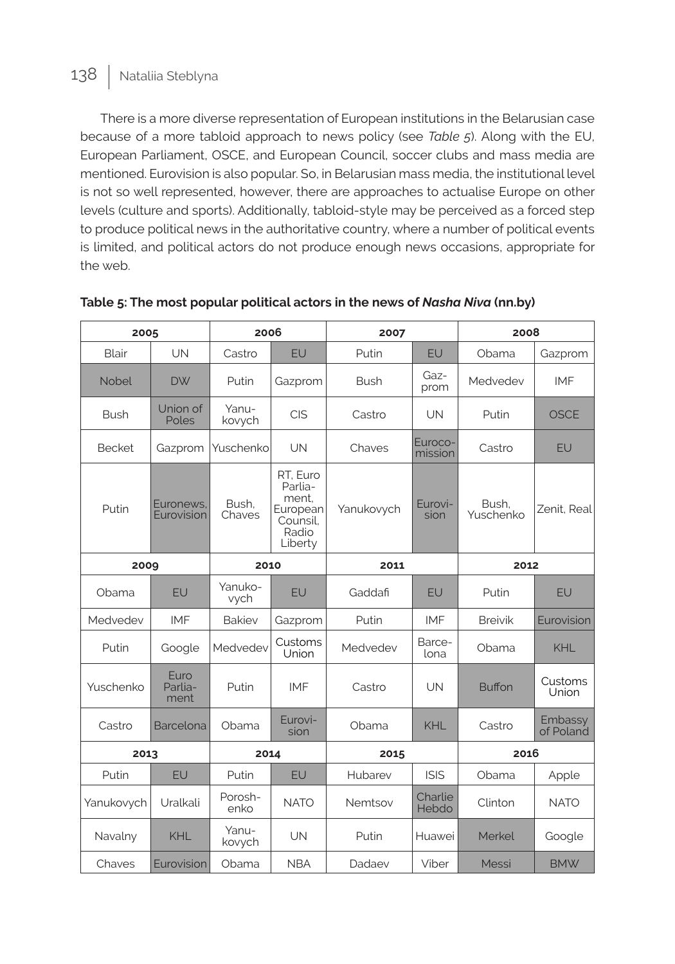There is a more diverse representation of European institutions in the Belarusian case because of a more tabloid approach to news policy (see *Table 5*). Along with the EU, European Parliament, OSCE, and European Council, soccer clubs and mass media are mentioned. Eurovision is also popular. So, in Belarusian mass media, the institutional level is not so well represented, however, there are approaches to actualise Europe on other levels (culture and sports). Additionally, tabloid-style may be perceived as a forced step to produce political news in the authoritative country, where a number of political events is limited, and political actors do not produce enough news occasions, appropriate for the web.

| 2005          |                         | 2006            |                                                                          | 2007        |                    | 2008               |                      |  |
|---------------|-------------------------|-----------------|--------------------------------------------------------------------------|-------------|--------------------|--------------------|----------------------|--|
| Blair         | UN                      | Castro          | EU                                                                       | Putin       | EU                 | Obama              | Gazprom              |  |
| Nobel         | <b>DW</b>               | Putin           | Gazprom                                                                  | <b>Bush</b> | Gaz-<br>prom       | Medvedev           | IMF                  |  |
| <b>Bush</b>   | Union of<br>Poles       | Yanu-<br>kovych | <b>CIS</b>                                                               | Castro      | UN                 | Putin              | <b>OSCE</b>          |  |
| <b>Becket</b> | Gazprom                 | Yuschenko       | UN                                                                       | Chaves      | Euroco-<br>mission | Castro             | EU                   |  |
| Putin         | Euronews.<br>Eurovision | Bush.<br>Chaves | RT, Euro<br>Parlia-<br>ment,<br>European<br>Counsil.<br>Radio<br>Liberty | Yanukovych  | Eurovi-<br>sion    | Bush.<br>Yuschenko | Zenit. Real          |  |
| 2009          |                         | 2010            |                                                                          | 2011        |                    | 2012               |                      |  |
| Obama         | EU                      | Yanuko-<br>vych | EU                                                                       | Gaddafi     | EU                 | Putin              | EU                   |  |
| Medvedev      | <b>IMF</b>              | <b>Bakiev</b>   | Gazprom                                                                  | Putin       | <b>IMF</b>         | <b>Breivik</b>     | Eurovision           |  |
| Putin         | Google                  | Medvedev        | Customs<br>Union                                                         | Medvedev    | Barce-<br>lona     | Obama              | KHL                  |  |
| Yuschenko     | Euro<br>Parlia-<br>ment | Putin           | <b>IMF</b>                                                               | Castro      | UN                 | <b>Buffon</b>      | Customs<br>Union     |  |
| Castro        | Barcelona               | Obama           | Eurovi-<br>sion                                                          | Obama       | KHL                | Castro             | Embassy<br>of Poland |  |
| 2013          |                         | 2014            |                                                                          | 2015        |                    | 2016               |                      |  |
| Putin         | EU                      | Putin           | EU                                                                       | Hubarev     | <b>ISIS</b>        | Obama              | Apple                |  |
| Yanukovych    | Uralkali                | Porosh-<br>enko | <b>NATO</b>                                                              | Nemtsov     | Charlie<br>Hebdo   | Clinton            | <b>NATO</b>          |  |
| Navalny       | <b>KHL</b>              | Yanu-<br>kovych | UN                                                                       | Putin       | Huawei             | Merkel             | Google               |  |
| Chaves        | Eurovision              | Obama           | <b>NBA</b>                                                               | Dadaev      | Viber              | Messi              | <b>BMW</b>           |  |

#### **Table 5: The most popular political actors in the news of** *Nasha Niva* **(nn.by)**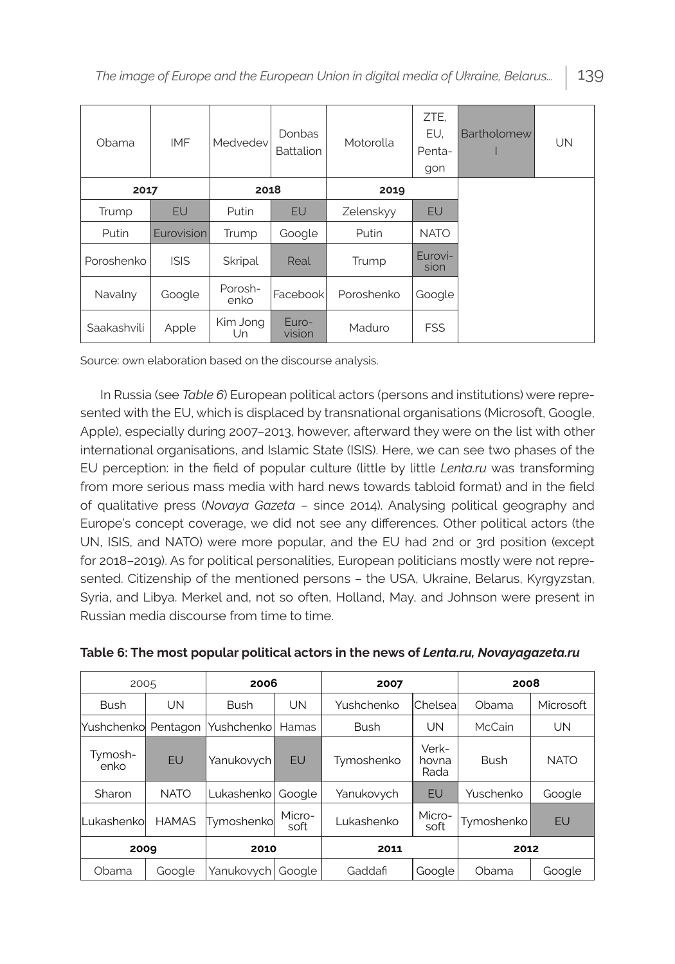| Obama       | <b>IMF</b>  | Medvedev        | <b>Donbas</b><br><b>Battalion</b> | Motorolla  | ZTE,<br>EU.<br>Penta-<br>gon | Bartholomew | UN |
|-------------|-------------|-----------------|-----------------------------------|------------|------------------------------|-------------|----|
| 2017        |             | 2018            |                                   | 2019       |                              |             |    |
| Trump       | <b>EU</b>   | Putin           | <b>EU</b>                         | Zelenskyy  | <b>EU</b>                    |             |    |
| Putin       | Eurovision  | Trump           | Google                            | Putin      | <b>NATO</b>                  |             |    |
| Poroshenko  | <b>ISIS</b> | Skripal         | Real                              | Trump      | Eurovi-<br>sion              |             |    |
| Navalny     | Google      | Porosh-<br>enko | Facebook                          | Poroshenko | Google                       |             |    |
| Saakashvili | Apple       | Kim Jong<br>Un  | Euro-<br>vision                   | Maduro     | <b>FSS</b>                   |             |    |

Source: own elaboration based on the discourse analysis.

In Russia (see *Table 6*) European political actors (persons and institutions) were represented with the EU, which is displaced by transnational organisations (Microsoft, Google, Apple), especially during 2007–2013, however, afterward they were on the list with other international organisations, and Islamic State (ISIS). Here, we can see two phases of the EU perception: in the field of popular culture (little by little *Lenta.ru* was transforming from more serious mass media with hard news towards tabloid format) and in the field of qualitative press (*Novaya Gazeta* – since 2014). Analysing political geography and Europe's concept coverage, we did not see any differences. Other political actors (the UN, ISIS, and NATO) were more popular, and the EU had 2nd or 3rd position (except for 2018–2019). As for political personalities, European politicians mostly were not represented. Citizenship of the mentioned persons – the USA, Ukraine, Belarus, Kyrgyzstan, Syria, and Libya. Merkel and, not so often, Holland, May, and Johnson were present in Russian media discourse from time to time.

| 2005                 |              | 2006        |                | 2007        |                        | 2008        |             |  |
|----------------------|--------------|-------------|----------------|-------------|------------------------|-------------|-------------|--|
| <b>Bush</b>          | UN           | <b>Bush</b> | UN             | Yushchenko  | Chelsea                | Obama       | Microsoft   |  |
| Yushchenkol Pentagon |              | Yushchenko  | Hamas          | <b>Bush</b> | UN                     | McCain      | UN          |  |
| Tymosh-<br>enko      | EU           | Yanukovych  | <b>EU</b>      | Tymoshenko  | Verk-<br>hovna<br>Rada | <b>Bush</b> | <b>NATO</b> |  |
| Sharon               | <b>NATO</b>  | Lukashenko  | Google         | Yanukovych  | <b>EU</b>              | Yuschenko   | Google      |  |
| <b>Lukashenkol</b>   | <b>HAMAS</b> | Tymoshenkol | Micro-<br>soft | Lukashenko  | Micro-<br>soft         | Tymoshenko  | <b>EU</b>   |  |
| 2009                 |              | 2010        |                | 2011        |                        | 2012        |             |  |
| Obama                | Google       | Yanukovych  | Google         | Gaddafi     | Google                 | Obama       | Google      |  |

**Table 6: The most popular political actors in the news of** *Lenta.ru, Novayagazeta.ru*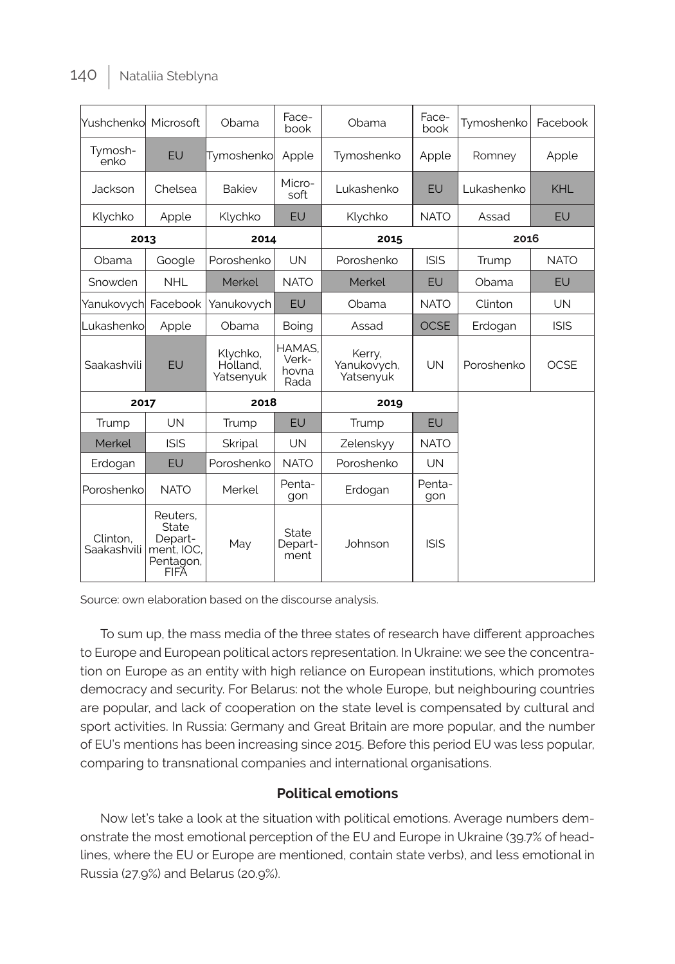| Mushchenkol             | Microsoft                                                       | Obama                             | Face-<br>book                    | Obama                              | Face-<br>book | Tymoshenko | Facebook    |
|-------------------------|-----------------------------------------------------------------|-----------------------------------|----------------------------------|------------------------------------|---------------|------------|-------------|
| Tymosh-<br>enko         | EU                                                              | Tymoshenko                        | Apple                            | Tymoshenko                         | Apple         | Romney     | Apple       |
| Jackson                 | Chelsea                                                         | <b>Bakiev</b>                     | Micro-<br>soft                   | Lukashenko                         | EU            | Lukashenko | KHL         |
| Klychko                 | Apple                                                           | Klychko                           | EU                               | Klychko                            | <b>NATO</b>   | Assad      | EU          |
| 2013                    |                                                                 | 2014                              |                                  | 2015                               |               | 2016       |             |
| Obama                   | Google                                                          | Poroshenko                        | UN                               | Poroshenko                         | <b>ISIS</b>   | Trump      | <b>NATO</b> |
| Snowden                 | <b>NHL</b>                                                      | Merkel                            | <b>NATO</b>                      | Merkel                             | EU            | Obama      | EU          |
| Yanukovych Facebook     |                                                                 | Yanukovych                        | EU                               | Obama                              | <b>NATO</b>   | Clinton    | <b>UN</b>   |
| Lukashenko              | Apple                                                           | Obama                             | Boing                            | Assad                              | <b>OCSE</b>   | Erdogan    | <b>ISIS</b> |
| Saakashvili             | EU                                                              | Klychko,<br>Holland.<br>Yatsenyuk | HAMAS.<br>Verk-<br>hovna<br>Rada | Kerry,<br>Yanukovych,<br>Yatsenyuk | <b>UN</b>     | Poroshenko | <b>OCSE</b> |
| 2017                    |                                                                 | 2018                              |                                  | 2019                               |               |            |             |
| Trump                   | UN                                                              | Trump                             | EU                               | Trump                              | EU            |            |             |
| Merkel                  | <b>ISIS</b>                                                     | <b>Skripal</b>                    | UN                               | Zelenskvv                          | <b>NATO</b>   |            |             |
| Erdogan                 | EU                                                              | Poroshenko                        | <b>NATO</b>                      | Poroshenko                         | UN            |            |             |
| Poroshenko              | <b>NATO</b>                                                     | Merkel                            | Penta-<br>gon                    | Erdogan                            | Penta-<br>gon |            |             |
| Clinton.<br>Saakashvili | Reuters.<br>State<br>Depart-<br>ment. IOC.<br>Pentagon,<br>FIFĂ | May                               | State<br>Depart-<br>ment         | Johnson                            | <b>ISIS</b>   |            |             |

Source: own elaboration based on the discourse analysis.

To sum up, the mass media of the three states of research have different approaches to Europe and European political actors representation. In Ukraine: we see the concentration on Europe as an entity with high reliance on European institutions, which promotes democracy and security. For Belarus: not the whole Europe, but neighbouring countries are popular, and lack of cooperation on the state level is compensated by cultural and sport activities. In Russia: Germany and Great Britain are more popular, and the number of EU's mentions has been increasing since 2015. Before this period EU was less popular, comparing to transnational companies and international organisations.

#### **Political emotions**

Now let's take a look at the situation with political emotions. Average numbers demonstrate the most emotional perception of the EU and Europe in Ukraine (39.7% of headlines, where the EU or Europe are mentioned, contain state verbs), and less emotional in Russia (27.9%) and Belarus (20.9%).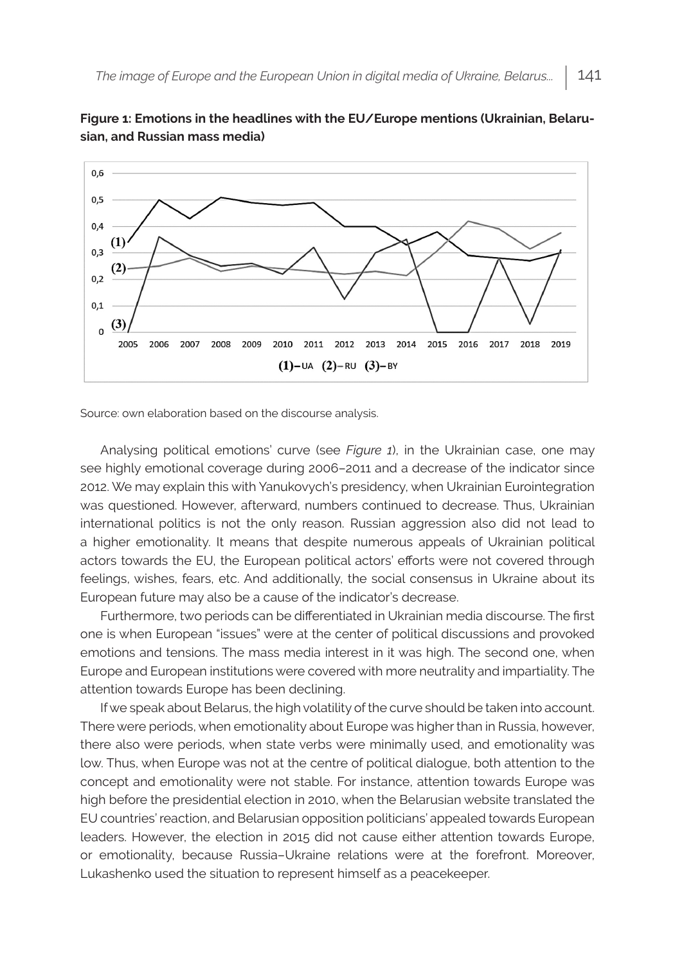



Source: own elaboration based on the discourse analysis.

Analysing political emotions' curve (see *Figure 1*), in the Ukrainian case, one may see highly emotional coverage during 2006–2011 and a decrease of the indicator since 2012. We may explain this with Yanukovych's presidency, when Ukrainian Eurointegration was questioned. However, afterward, numbers continued to decrease. Thus, Ukrainian international politics is not the only reason. Russian aggression also did not lead to a higher emotionality. It means that despite numerous appeals of Ukrainian political actors towards the EU, the European political actors' efforts were not covered through feelings, wishes, fears, etc. And additionally, the social consensus in Ukraine about its European future may also be a cause of the indicator's decrease.

Furthermore, two periods can be differentiated in Ukrainian media discourse. The first one is when European "issues" were at the center of political discussions and provoked emotions and tensions. The mass media interest in it was high. The second one, when Europe and European institutions were covered with more neutrality and impartiality. The attention towards Europe has been declining.

If we speak about Belarus, the high volatility of the curve should be taken into account. There were periods, when emotionality about Europe was higher than in Russia, however, there also were periods, when state verbs were minimally used, and emotionality was low. Thus, when Europe was not at the centre of political dialogue, both attention to the concept and emotionality were not stable. For instance, attention towards Europe was high before the presidential election in 2010, when the Belarusian website translated the EU countries' reaction, and Belarusian opposition politicians' appealed towards European leaders. However, the election in 2015 did not cause either attention towards Europe, or emotionality, because Russia–Ukraine relations were at the forefront. Moreover, Lukashenko used the situation to represent himself as a peacekeeper.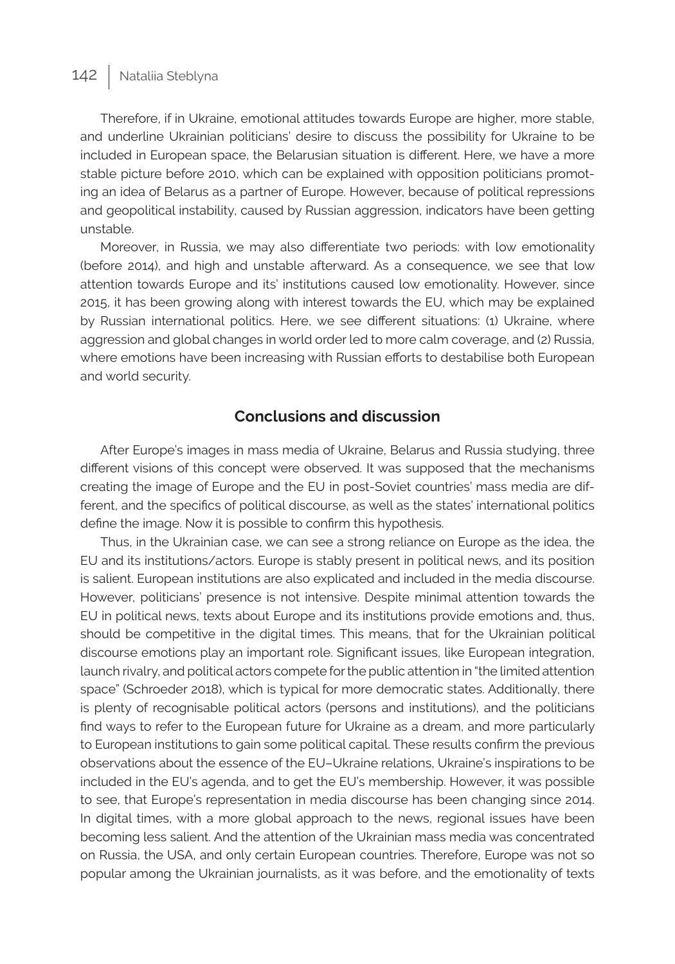Therefore, if in Ukraine, emotional attitudes towards Europe are higher, more stable, and underline Ukrainian politicians' desire to discuss the possibility for Ukraine to be included in European space, the Belarusian situation is different. Here, we have a more stable picture before 2010, which can be explained with opposition politicians promoting an idea of Belarus as a partner of Europe. However, because of political repressions and geopolitical instability, caused by Russian aggression, indicators have been getting unstable.

Moreover, in Russia, we may also differentiate two periods: with low emotionality (before 2014), and high and unstable afterward. As a consequence, we see that low attention towards Europe and its' institutions caused low emotionality. However, since 2015, it has been growing along with interest towards the EU, which may be explained by Russian international politics. Here, we see different situations: (1) Ukraine, where aggression and global changes in world order led to more calm coverage, and (2) Russia, where emotions have been increasing with Russian efforts to destabilise both European and world security.

### **Conclusions and discussion**

After Europe's images in mass media of Ukraine, Belarus and Russia studying, three different visions of this concept were observed. It was supposed that the mechanisms creating the image of Europe and the EU in post-Soviet countries' mass media are different, and the specifics of political discourse, as well as the states' international politics define the image. Now it is possible to confirm this hypothesis.

Thus, in the Ukrainian case, we can see a strong reliance on Europe as the idea, the EU and its institutions/actors. Europe is stably present in political news, and its position is salient. European institutions are also explicated and included in the media discourse. However, politicians' presence is not intensive. Despite minimal attention towards the EU in political news, texts about Europe and its institutions provide emotions and, thus, should be competitive in the digital times. This means, that for the Ukrainian political discourse emotions play an important role. Significant issues, like European integration, launch rivalry, and political actors compete for the public attention in "the limited attention space" (Schroeder 2018), which is typical for more democratic states. Additionally, there is plenty of recognisable political actors (persons and institutions), and the politicians find ways to refer to the European future for Ukraine as a dream, and more particularly to European institutions to gain some political capital. These results confirm the previous observations about the essence of the EU–Ukraine relations, Ukraine's inspirations to be included in the EU's agenda, and to get the EU's membership. However, it was possible to see, that Europe's representation in media discourse has been changing since 2014. In digital times, with a more global approach to the news, regional issues have been becoming less salient. And the attention of the Ukrainian mass media was concentrated on Russia, the USA, and only certain European countries. Therefore, Europe was not so popular among the Ukrainian journalists, as it was before, and the emotionality of texts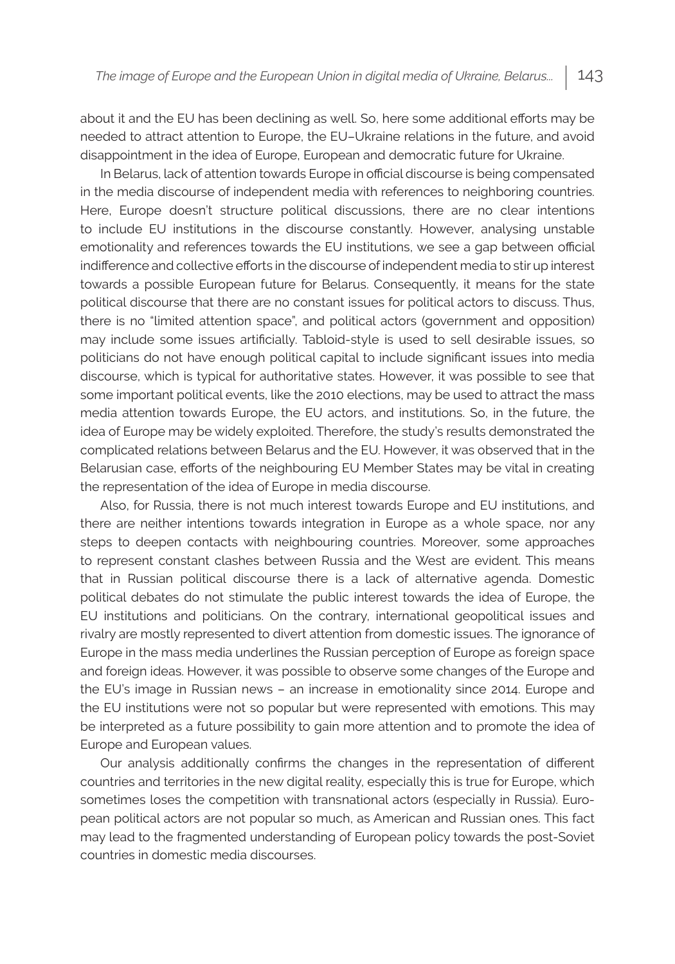about it and the EU has been declining as well. So, here some additional efforts may be needed to attract attention to Europe, the EU–Ukraine relations in the future, and avoid disappointment in the idea of Europe, European and democratic future for Ukraine.

In Belarus, lack of attention towards Europe in official discourse is being compensated in the media discourse of independent media with references to neighboring countries. Here, Europe doesn't structure political discussions, there are no clear intentions to include EU institutions in the discourse constantly. However, analysing unstable emotionality and references towards the EU institutions, we see a gap between official indifference and collective efforts in the discourse of independent media to stir up interest towards a possible European future for Belarus. Consequently, it means for the state political discourse that there are no constant issues for political actors to discuss. Thus, there is no "limited attention space", and political actors (government and opposition) may include some issues artificially. Tabloid-style is used to sell desirable issues, so politicians do not have enough political capital to include significant issues into media discourse, which is typical for authoritative states. However, it was possible to see that some important political events, like the 2010 elections, may be used to attract the mass media attention towards Europe, the EU actors, and institutions. So, in the future, the idea of Europe may be widely exploited. Therefore, the study's results demonstrated the complicated relations between Belarus and the EU. However, it was observed that in the Belarusian case, efforts of the neighbouring EU Member States may be vital in creating the representation of the idea of Europe in media discourse.

Also, for Russia, there is not much interest towards Europe and EU institutions, and there are neither intentions towards integration in Europe as a whole space, nor any steps to deepen contacts with neighbouring countries. Moreover, some approaches to represent constant clashes between Russia and the West are evident. This means that in Russian political discourse there is a lack of alternative agenda. Domestic political debates do not stimulate the public interest towards the idea of Europe, the EU institutions and politicians. On the contrary, international geopolitical issues and rivalry are mostly represented to divert attention from domestic issues. The ignorance of Europe in the mass media underlines the Russian perception of Europe as foreign space and foreign ideas. However, it was possible to observe some changes of the Europe and the EU's image in Russian news – an increase in emotionality since 2014. Europe and the EU institutions were not so popular but were represented with emotions. This may be interpreted as a future possibility to gain more attention and to promote the idea of Europe and European values.

Our analysis additionally confirms the changes in the representation of different countries and territories in the new digital reality, especially this is true for Europe, which sometimes loses the competition with transnational actors (especially in Russia). European political actors are not popular so much, as American and Russian ones. This fact may lead to the fragmented understanding of European policy towards the post-Soviet countries in domestic media discourses.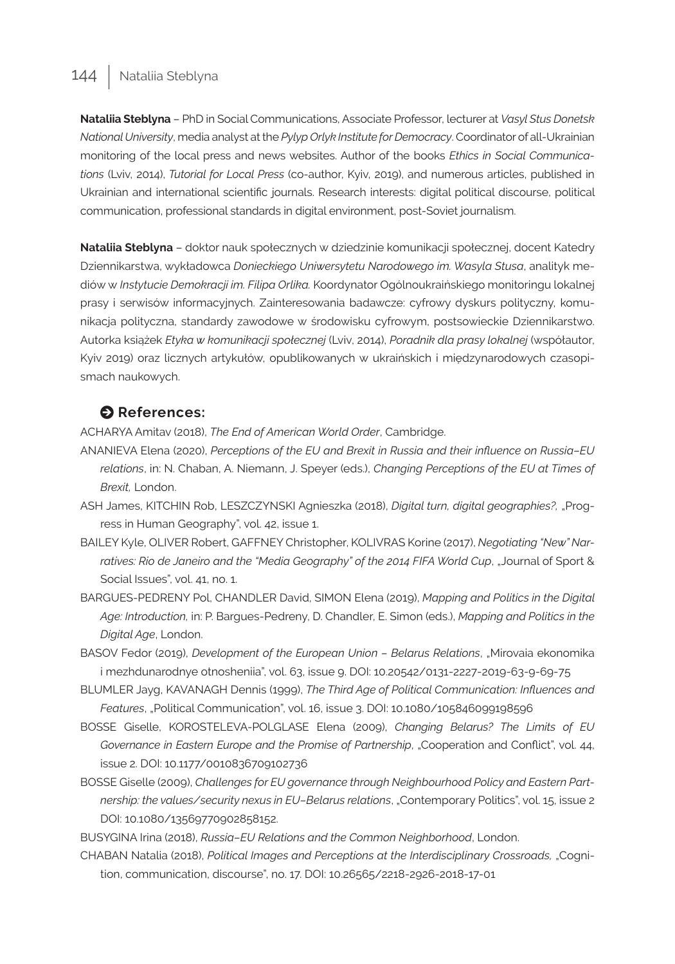**Nataliia Steblyna** – PhD in Social Communications, Associate Professor, lecturer at *Vasyl Stus Donetsk National University*, media analyst at the *Pylyp Orlyk Institute for Democracy*. Coordinator of all-Ukrainian monitoring of the local press and news websites. Author of the books *Ethics in Social Communications* (Lviv, 2014), *Tutorial for Local Press* (co-author, Kyiv, 2019), and numerous articles, published in Ukrainian and international scientific journals. Research interests: digital political discourse, political communication, professional standards in digital environment, post-Soviet journalism.

**Nataliia Steblyna** – doktor nauk społecznych w dziedzinie komunikacji społecznej, docent Katedry Dziennikarstwa, wykładowca *Donieckiego Uniwersytetu Narodowego im. Wasyla Stusa*, analityk mediów w *Instytucie Demokracji im. Filipa Orlika.* Koordynator Ogólnoukraińskiego monitoringu lokalnej prasy i serwisów informacyjnych. Zainteresowania badawcze: cyfrowy dyskurs polityczny, komunikacja polityczna, standardy zawodowe w środowisku cyfrowym, postsowieckie Dziennikarstwo. Autorka książek *Etyka w komunikacji społecznej* (Lviv, 2014), *Poradnik dla prasy lokalnej* (współautor, Kyiv 2019) oraz licznych artykułów, opublikowanych w ukraińskich i międzynarodowych czasopismach naukowych.

#### $\bullet$  References:

ACHARYA Amitav (2018), *The End of American World Order*, Cambridge.

- ANANIEVA Elena (2020), *Perceptions of the EU and Brexit in Russia and their influence on Russia–EU relations*, in: N. Chaban, A. Niemann, J. Speyer (eds.), *Changing Perceptions of the EU at Times of Brexit,* London.
- ASH James, KITCHIN Rob, LESZCZYNSKI Agnieszka (2018), *Digital turn, digital geographies?,* "Progress in Human Geography", vol. 42, issue 1.
- BAILEY Kyle, OLIVER Robert, GAFFNEY Christopher, KOLIVRAS Korine (2017), *Negotiating "New" Narratives: Rio de Janeiro and the "Media Geography" of the 2014 FIFA World Cup*, "Journal of Sport & Social Issues", vol. 41, no. 1.
- BARGUES-PEDRENY Pol, CHANDLER David, SIMON Elena (2019), *Mapping and Politics in the Digital Age: Introduction,* in: P. Bargues-Pedreny, D. Chandler, E. Simon (eds.), *Mapping and Politics in the Digital Age*, London.
- BASOV Fedor (2019), *Development of the European Union Belarus Relations*, "Mirovaia ekonomika i mezhdunarodnye otnosheniia", vol. 63, issue 9. DOI: 10.20542/0131-2227-2019-63-9-69-75
- BLUMLER Jayg, KAVANAGH Dennis (1999), *The Third Age of Political Communication: Influences and Features*, "Political Communication", vol. 16, issue 3. DOI: 10.1080/105846099198596
- BOSSE Giselle, KOROSTELEVA-POLGLASE Elena (2009), *Changing Belarus? The Limits of EU Governance in Eastern Europe and the Promise of Partnership*, "Cooperation and Conflict", vol. 44, issue 2. DOI: 10.1177/0010836709102736
- BOSSE Giselle (2009), *Challenges for EU governance through Neighbourhood Policy and Eastern Partnership: the values/security nexus in EU–Belarus relations*, "Contemporary Politics", vol. 15, issue 2 DOI: 10.1080/13569770902858152.
- BUSYGINA Irina (2018), *Russia–EU Relations and the Common Neighborhood*, London.
- CHABAN Natalia (2018), *Political Images and Perceptions at the Interdisciplinary Crossroads,* "Cognition, communication, discourse", no. 17. DOI: 10.26565/2218-2926-2018-17-01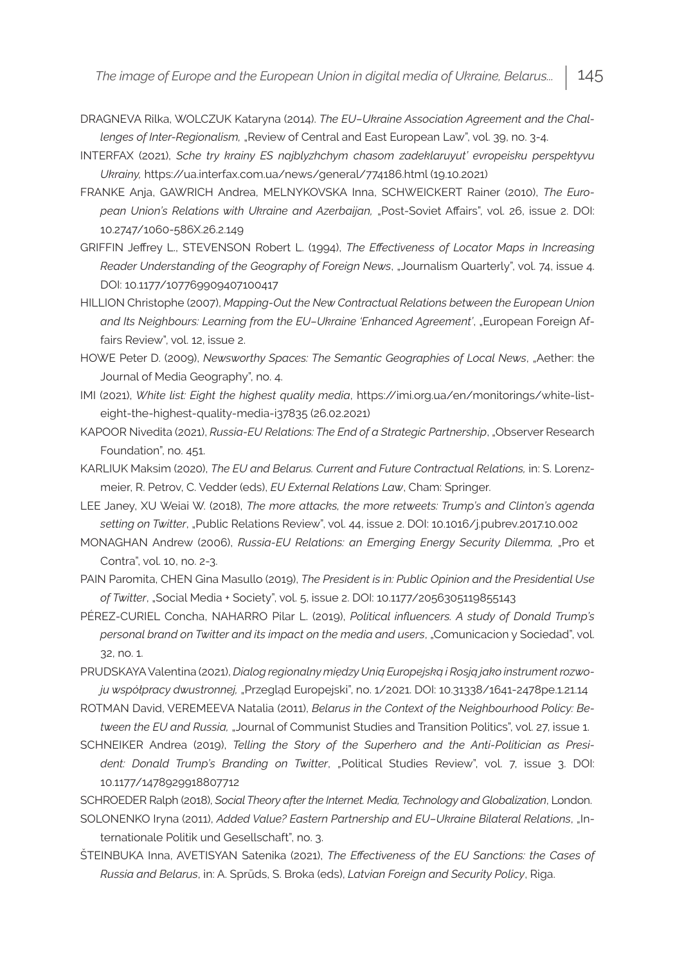- DRAGNEVA Rilka, WOLCZUK Kataryna (2014). *The EU–Ukraine Association Agreement and the Challenges of Inter-Regionalism, "Review of Central and East European Law", vol. 39, no. 3-4.*
- INTERFAX (2021), *Sche try krainy ES najblyzhchym chasom zadeklaruyut' evropeisku perspektyvu Ukrainy,* https://ua.interfax.com.ua/news/general/774186.html (19.10.2021)
- FRANKE Anja, GAWRICH Andrea, MELNYKOVSKA Inna, SCHWEICKERT Rainer (2010), *The European Union's Relations with Ukraine and Azerbaijan,* "Post-Soviet Affairs", vol. 26, issue 2. DOI: 10.2747/1060-586X.26.2.149
- GRIFFIN Jeffrey L., STEVENSON Robert L. (1994), *The Effectiveness of Locator Maps in Increasing Reader Understanding of the Geography of Foreign News*, "Journalism Quarterly", vol. 74, issue 4. DOI: 10.1177/107769909407100417
- HILLION Christophe (2007), *Mapping-Out the New Contractual Relations between the European Union*  and Its Neighbours: Learning from the EU-Ukraine 'Enhanced Agreement', "European Foreign Affairs Review", vol. 12, issue 2.
- HOWE Peter D. (2009), *Newsworthy Spaces: The Semantic Geographies of Local News*, "Aether: the Journal of Media Geography", no. 4.
- IMI (2021), *White list: Eight the highest quality media*, https://imi.org.ua/en/monitorings/white-listeight-the-highest-quality-media-i37835 (26.02.2021)
- KAPOOR Nivedita (2021), *Russia-EU Relations: The End of a Strategic Partnership*, "Observer Research Foundation", no. 451.
- KARLIUK Maksim (2020), *The EU and Belarus. Current and Future Contractual Relations,* in: S. Lorenzmeier, R. Petrov, C. Vedder (eds), *EU External Relations Law*, Cham: Springer.
- LEE Janey, XU Weiai W. (2018), *The more attacks, the more retweets: Trump's and Clinton's agenda setting on Twitter*, "Public Relations Review", vol. 44, issue 2. DOI: 10.1016/j.pubrev.2017.10.002
- MONAGHAN Andrew (2006), *Russia-EU Relations: an Emerging Energy Security Dilemma,* "Pro et Contra", vol. 10, no. 2-3.
- PAIN Paromita, CHEN Gina Masullo (2019), *The President is in: Public Opinion and the Presidential Use of Twitter*, "Social Media + Society", vol. 5, issue 2. DOI: 10.1177/2056305119855143
- PÉREZ-CURIEL Concha, NAHARRO Pilar L. (2019), *Political influencers. A study of Donald Trump's personal brand on Twitter and its impact on the media and users*, "Comunicacion y Sociedad", vol. 32, no. 1.
- PRUDSKAYA Valentina (2021), *Dialog regionalny między Unią Europejską i Rosją jako instrument rozwoju współpracy dwustronnej,* "Przegląd Europejski", no. 1/2021. DOI: 10.31338/1641-2478pe.1.21.14
- ROTMAN David, VEREMEEVA Natalia (2011), *Belarus in the Context of the Neighbourhood Policy: Between the EU and Russia,* "Journal of Communist Studies and Transition Politics", vol. 27, issue 1.
- SCHNEIKER Andrea (2019), *Telling the Story of the Superhero and the Anti-Politician as President: Donald Trump's Branding on Twitter*, "Political Studies Review", vol. 7, issue 3. DOI: 10.1177/1478929918807712
- SCHROEDER Ralph (2018), *Social Theory after the Internet. Media, Technology and Globalization*, London. SOLONENKO Iryna (2011), *Added Value? Eastern Partnership and EU–Ukraine Bilateral Relations*, "Internationale Politik und Gesellschaft", no. 3.
- ŠTEINBUKA Inna, AVETISYAN Satenika (2021), *The Effectiveness of the EU Sanctions: the Cases of Russia and Belarus*, in: A. Sprūds, S. Broka (eds), *Latvian Foreign and Security Policy*, Riga.